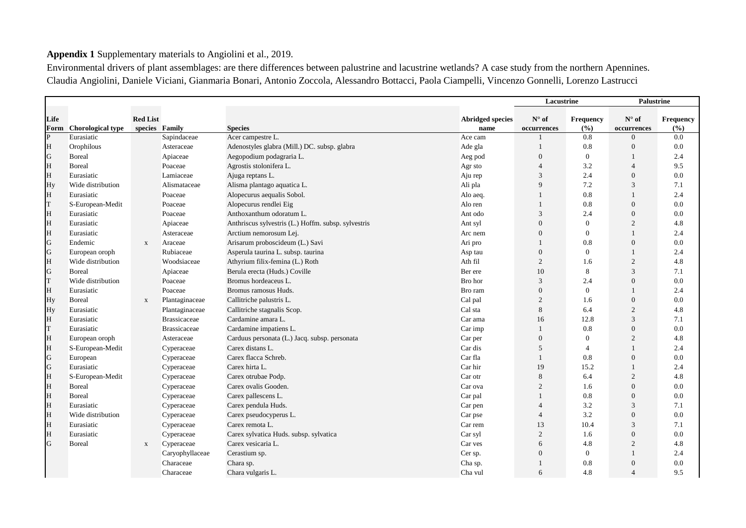## Appendix 1 Supplementary materials to Angiolini et al., 2019.

Environmental drivers of plant assemblages: are there differences between palustrine and lacustrine wetlands? A case study from the northern Apennines. Claudia Angiolini, Daniele Viciani, Gianmaria Bonari, Antonio Zoccola, Alessandro Bottacci, Paola Ciampelli, Vincenzo Gonnelli, Lorenzo Lastrucci

|              |                          |                 |                     |                                                     |                                 | Lacustrine       |                    | <b>Palustrine</b>        |                    |
|--------------|--------------------------|-----------------|---------------------|-----------------------------------------------------|---------------------------------|------------------|--------------------|--------------------------|--------------------|
| Life         |                          | <b>Red List</b> |                     |                                                     |                                 | $N^{\circ}$ of   |                    | $N^{\circ}$ of           |                    |
| Form         | <b>Chorological type</b> | species Family  |                     | <b>Species</b>                                      | <b>Abridged species</b><br>name | occurrences      | Frequency<br>(°/0) | occurrences              | Frequency<br>(9/0) |
| $\mathbf{P}$ | Eurasiatic               |                 | Sapindaceae         | Acer campestre L.                                   | Ace cam                         |                  | 0.8                | $\overline{0}$           | 0.0                |
| H            | Orophilous               |                 | Asteraceae          | Adenostyles glabra (Mill.) DC. subsp. glabra        | Ade gla                         | 1                | 0.8                | $\overline{0}$           | 0.0                |
| G            | <b>B</b> oreal           |                 | Apiaceae            | Aegopodium podagraria L.                            | Aeg pod                         | $\boldsymbol{0}$ | $\mathbf{0}$       |                          | 2.4                |
| H            | <b>Boreal</b>            |                 | Poaceae             | Agrostis stolonifera L.                             | Agr sto                         | $\overline{4}$   | 3.2                | $\overline{4}$           | 9.5                |
| H            | Eurasiatic               |                 | Lamiaceae           | Ajuga reptans L.                                    | Aju rep                         | 3                | 2.4                | $\overline{0}$           | 0.0                |
| Hy           | Wide distribution        |                 | Alismataceae        | Alisma plantago aquatica L.                         | Ali pla                         | 9                | 7.2                | 3                        | 7.1                |
| H            | Eurasiatic               |                 | Poaceae             | Alopecurus aequalis Sobol.                          | Alo aeg.                        |                  | 0.8                |                          | 2.4                |
| T            | S-European-Medit         |                 | Poaceae             | Alopecurus rendlei Eig                              | Alo ren                         | 1                | 0.8                | $\overline{0}$           | 0.0                |
| H            | Eurasiatic               |                 | Poaceae             | Anthoxanthum odoratum L.                            | Ant odo                         | 3                | 2.4                | $\overline{0}$           | 0.0                |
| H            | Eurasiatic               |                 | Apiaceae            | Anthriscus sylvestris (L.) Hoffm. subsp. sylvestris | Ant syl                         | $\boldsymbol{0}$ | $\mathbf{0}$       | $\overline{2}$           | 4.8                |
| H            | Eurasiatic               |                 | Asteraceae          | Arctium nemorosum Lej.                              | Arc nem                         | $\mathbf{0}$     | $\Omega$           | $\mathbf{1}$             | 2.4                |
| ${\bf G}$    | Endemic                  | $\mathbf{x}$    | Araceae             | Arisarum proboscideum (L.) Savi                     | Ari pro                         |                  | 0.8                | $\overline{0}$           | 0.0                |
| ${\bf G}$    | European oroph           |                 | Rubiaceae           | Asperula taurina L. subsp. taurina                  | Asp tau                         | $\mathbf{0}$     | $\mathbf{0}$       | $\mathbf{1}$             | 2.4                |
| H            | Wide distribution        |                 | Woodsiaceae         | Athyrium filix-femina (L.) Roth                     | Ath fil                         | 2                | 1.6                | $\overline{2}$           | 4.8                |
| G            | <b>Boreal</b>            |                 | Apiaceae            | Berula erecta (Huds.) Coville                       | Ber ere                         | 10               | 8                  | 3                        | 7.1                |
| T            | Wide distribution        |                 | Poaceae             | Bromus hordeaceus L.                                | Bro hor                         | 3                | 2.4                | $\Omega$                 | 0.0                |
| H            | Eurasiatic               |                 | Poaceae             | Bromus ramosus Huds.                                | Bro ram                         | $\overline{0}$   | $\theta$           | 1                        | 2.4                |
| Hy           | <b>B</b> oreal           | $\mathbf X$     | Plantaginaceae      | Callitriche palustris L.                            | Cal pal                         | 2                | 1.6                | $\overline{0}$           | 0.0                |
| Hy           | Eurasiatic               |                 | Plantaginaceae      | Callitriche stagnalis Scop.                         | Cal sta                         | $\,8\,$          | 6.4                | $\overline{c}$           | 4.8                |
| H            | Eurasiatic               |                 | <b>Brassicaceae</b> | Cardamine amara L.                                  | Car ama                         | 16               | 12.8               | $\overline{3}$           | 7.1                |
| T            | Eurasiatic               |                 | <b>Brassicaceae</b> | Cardamine impatiens L.                              | Car imp                         | $\mathbf{1}$     | 0.8                | $\overline{0}$           | 0.0                |
| H            | European oroph           |                 | Asteraceae          | Carduus personata (L.) Jacq. subsp. personata       | Car per                         | $\overline{0}$   | $\mathbf{0}$       | $\overline{2}$           | 4.8                |
| H            | S-European-Medit         |                 | Cyperaceae          | Carex distans L.                                    | Car dis                         | 5                | $\overline{4}$     | $\mathbf{1}$             | 2.4                |
| G            | European                 |                 | Cyperaceae          | Carex flacca Schreb.                                | Car fla                         | $\mathbf{1}$     | 0.8                | $\overline{0}$           | 0.0                |
| G            | Eurasiatic               |                 | Cyperaceae          | Carex hirta L.                                      | Car hir                         | 19               | 15.2               | $\mathbf{1}$             | 2.4                |
| H            | S-European-Medit         |                 | Cyperaceae          | Carex otrubae Podp.                                 | Car otr                         | 8                | 6.4                | $\overline{2}$           | 4.8                |
| H            | <b>Boreal</b>            |                 | Cyperaceae          | Carex ovalis Gooden.                                | Car ova                         | $\overline{2}$   | 1.6                | $\overline{0}$           | 0.0                |
| $\mathbf H$  | <b>Boreal</b>            |                 | Cyperaceae          | Carex pallescens L.                                 | Car pal                         |                  | 0.8                | $\overline{0}$           | 0.0                |
| H            | Eurasiatic               |                 | Cyperaceae          | Carex pendula Huds.                                 | Car pen                         | $\overline{4}$   | 3.2                | 3                        | 7.1                |
| H            | Wide distribution        |                 | Cyperaceae          | Carex pseudocyperus L.                              | Car pse                         | $\overline{4}$   | 3.2                | $\overline{0}$           | 0.0                |
| H            | Eurasiatic               |                 | Cyperaceae          | Carex remota L.                                     | Car rem                         | 13               | 10.4               | 3                        | 7.1                |
| H            | Eurasiatic               |                 | Cyperaceae          | Carex sylvatica Huds. subsp. sylvatica              | Car syl                         | 2                | 1.6                | $\overline{0}$           | 0.0                |
| G            | <b>Boreal</b>            | $\mathbf{x}$    | Cyperaceae          | Carex vesicaria L.                                  | Car ves                         | 6                | 4.8                | $\overline{2}$           | 4.8                |
|              |                          |                 | Caryophyllaceae     | Cerastium sp.                                       | Cer sp.                         | $\mathbf{0}$     | $\mathbf{0}$       | 1                        | 2.4                |
|              |                          |                 | Characeae           | Chara sp.                                           | Cha sp.                         |                  | 0.8                | $\overline{0}$           | 0.0                |
|              |                          |                 | Characeae           | Chara vulgaris L.                                   | Cha vul                         | 6                | 4.8                | $\overline{\mathcal{A}}$ | 9.5                |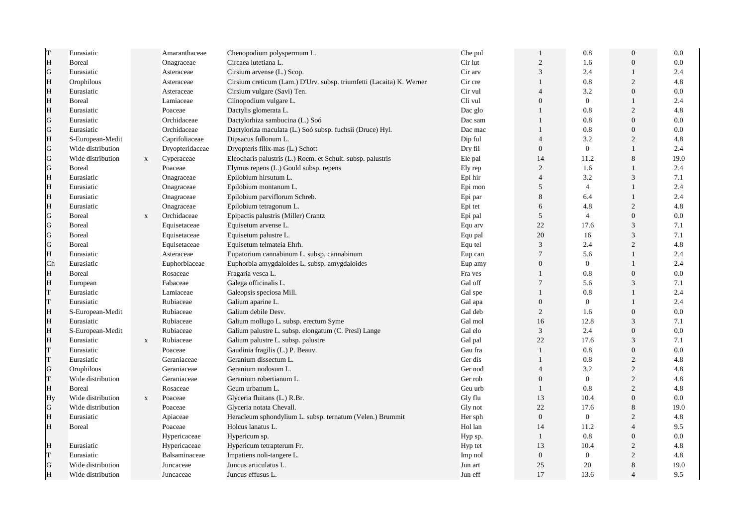| T           | Eurasiatic        |              | Amaranthaceae   | Chenopodium polyspermum L.                                           | Che pol | $\mathbf{1}$     | 0.8            | $\overline{0}$ | 0.0     |
|-------------|-------------------|--------------|-----------------|----------------------------------------------------------------------|---------|------------------|----------------|----------------|---------|
| H           | <b>Boreal</b>     |              | Onagraceae      | Circaea lutetiana L.                                                 | Cir lut | $\sqrt{2}$       | 1.6            | $\Omega$       | 0.0     |
| G           | Eurasiatic        |              | Asteraceae      | Cirsium arvense (L.) Scop.                                           | Cir arv | 3                | 2.4            | 1              | 2.4     |
| H           | Orophilous        |              | Asteraceae      | Cirsium creticum (Lam.) D'Urv. subsp. triumfetti (Lacaita) K. Werner | Cir cre | $\mathbf{1}$     | 0.8            | 2              | 4.8     |
| H           | Eurasiatic        |              | Asteraceae      | Cirsium vulgare (Savi) Ten.                                          | Cir vul | $\overline{4}$   | 3.2            | $\Omega$       | 0.0     |
| H           | <b>Boreal</b>     |              | Lamiaceae       | Clinopodium vulgare L.                                               | Cli vul | $\mathbf{0}$     | $\mathbf{0}$   | 1              | 2.4     |
| H           | Eurasiatic        |              | Poaceae         | Dactylis glomerata L.                                                | Dac glo | $\mathbf{1}$     | 0.8            | 2              | 4.8     |
| G           | Eurasiatic        |              | Orchidaceae     | Dactylorhiza sambucina (L.) Soó                                      | Dac sam | 1                | 0.8            | $\theta$       | 0.0     |
| G           | Eurasiatic        |              | Orchidaceae     | Dactyloriza maculata (L.) Soó subsp. fuchsii (Druce) Hyl.            | Dac mac | $\mathbf{1}$     | 0.8            | $\overline{0}$ | 0.0     |
| H           | S-European-Medit  |              | Caprifoliaceae  | Dipsacus fullonum L.                                                 | Dip ful | $\overline{4}$   | 3.2            | 2              | 4.8     |
| $\mathbf G$ | Wide distribution |              | Dryopteridaceae | Dryopteris filix-mas (L.) Schott                                     | Dry fil | $\mathbf{0}$     | $\mathbf{0}$   |                | 2.4     |
| G           | Wide distribution | $\mathbf{X}$ | Cyperaceae      | Eleocharis palustris (L.) Roem. et Schult. subsp. palustris          | Ele pal | 14               | 11.2           | 8              | 19.0    |
| G           | <b>Boreal</b>     |              | Poaceae         | Elymus repens (L.) Gould subsp. repens                               | Ely rep | 2                | 1.6            | 1              | 2.4     |
| H           | Eurasiatic        |              | Onagraceae      | Epilobium hirsutum L.                                                | Epi hir | $\overline{4}$   | 3.2            | 3              | 7.1     |
| H           | Eurasiatic        |              | Onagraceae      | Epilobium montanum L.                                                | Epi mon | 5                | $\overline{4}$ | 1              | 2.4     |
| H           | Eurasiatic        |              | Onagraceae      | Epilobium parviflorum Schreb.                                        | Epi par | 8                | 6.4            | 1              | 2.4     |
| H           | Eurasiatic        |              | Onagraceae      | Epilobium tetragonum L.                                              | Epi tet | 6                | 4.8            | 2              | 4.8     |
| G           | <b>B</b> oreal    | $\mathbf X$  | Orchidaceae     | Epipactis palustris (Miller) Crantz                                  | Epi pal | 5                | $\overline{4}$ | $\overline{0}$ | 0.0     |
| G           | <b>Boreal</b>     |              | Equisetaceae    | Equisetum arvense L.                                                 | Equ arv | 22               | 17.6           | 3              | 7.1     |
| G           | <b>Boreal</b>     |              | Equisetaceae    | Equisetum palustre L.                                                | Equ pal | 20               | 16             | 3              | 7.1     |
| G           | <b>B</b> oreal    |              | Equisetaceae    | Equisetum telmateia Ehrh.                                            | Equ tel | 3                | 2.4            | $\overline{2}$ | 4.8     |
| H           | Eurasiatic        |              | Asteraceae      | Eupatorium cannabinum L. subsp. cannabinum                           | Eup can | $7\phantom{.0}$  | 5.6            | 1              | 2.4     |
| Ch          | Eurasiatic        |              | Euphorbiaceae   | Euphorbia amygdaloides L. subsp. amygdaloides                        | Eup amy | $\boldsymbol{0}$ | $\mathbf{0}$   |                | 2.4     |
| H           | <b>Boreal</b>     |              | Rosaceae        | Fragaria vesca L.                                                    | Fra ves | 1                | 0.8            | $\overline{0}$ | 0.0     |
| H           | European          |              | Fabaceae        | Galega officinalis L.                                                | Gal off | $7\phantom{.0}$  | 5.6            | 3              | 7.1     |
| T           | Eurasiatic        |              | Lamiaceae       | Galeopsis speciosa Mill.                                             | Gal spe | 1                | 0.8            |                | 2.4     |
| T           | Eurasiatic        |              | Rubiaceae       | Galium aparine L.                                                    | Gal apa | $\boldsymbol{0}$ | $\mathbf{0}$   |                | 2.4     |
| $\rm H$     | S-European-Medit  |              | Rubiaceae       | Galium debile Desv.                                                  | Gal deb | $\overline{c}$   | 1.6            | $\mathbf{0}$   | 0.0     |
| H           | Eurasiatic        |              | Rubiaceae       | Galium mollugo L. subsp. erectum Syme                                | Gal mol | 16               | 12.8           | 3              | 7.1     |
| H           | S-European-Medit  |              | Rubiaceae       | Galium palustre L. subsp. elongatum (C. Presl) Lange                 | Gal elo | 3                | 2.4            | $\theta$       | 0.0     |
| H           | Eurasiatic        | $\mathbf X$  | Rubiaceae       | Galium palustre L. subsp. palustre                                   | Gal pal | 22               | 17.6           | 3              | 7.1     |
| T           | Eurasiatic        |              | Poaceae         | Gaudinia fragilis (L.) P. Beauv.                                     | Gau fra | $\mathbf{1}$     | 0.8            | $\overline{0}$ | 0.0     |
| T           | Eurasiatic        |              | Geraniaceae     | Geranium dissectum L.                                                | Ger dis | $\mathbf{1}$     | 0.8            | 2              | 4.8     |
| G           | Orophilous        |              | Geraniaceae     | Geranium nodosum L.                                                  | Ger nod | $\overline{4}$   | 3.2            | $\overline{2}$ | 4.8     |
| T           | Wide distribution |              | Geraniaceae     | Geranium robertianum L.                                              | Ger rob | $\overline{0}$   | $\overline{0}$ | $\overline{2}$ | 4.8     |
| H           | Boreal            |              | Rosaceae        | Geum urbanum L.                                                      | Geu urb | $\mathbf{1}$     | 0.8            | $\overline{2}$ | 4.8     |
| Hy          | Wide distribution | $\mathbf{X}$ | Poaceae         | Glyceria fluitans (L.) R.Br.                                         | Gly flu | 13               | 10.4           | $\overline{0}$ | $0.0\,$ |
| G           | Wide distribution |              | Poaceae         | Glyceria notata Chevall.                                             | Gly not | 22               | 17.6           | 8              | 19.0    |
| H           | Eurasiatic        |              | Apiaceae        | Heracleum sphondylium L. subsp. ternatum (Velen.) Brummit            | Her sph | $\mathbf{0}$     | $\overline{0}$ | 2              | 4.8     |
| H           | Boreal            |              | Poaceae         | Holcus lanatus L.                                                    | Hol lan | 14               | 11.2           | $\overline{4}$ | 9.5     |
|             |                   |              | Hypericaceae    | Hypericum sp.                                                        | Hyp sp. | $\mathbf{1}$     | 0.8            | $\theta$       | 0.0     |
| H           | Eurasiatic        |              | Hypericaceae    | Hypericum tetrapterum Fr.                                            | Hyp tet | 13               | 10.4           | 2              | 4.8     |
| T           | Eurasiatic        |              | Balsaminaceae   | Impatiens noli-tangere L.                                            | Imp nol | $\mathbf{0}$     | $\mathbf{0}$   | $\overline{2}$ | 4.8     |
| G           | Wide distribution |              | Juncaceae       | Juncus articulatus L.                                                | Jun art | 25               | 20             | 8              | 19.0    |
| $\rm H$     | Wide distribution |              | Juncaceae       | Juncus effusus L.                                                    | Jun eff | 17               | 13.6           | $\overline{4}$ | 9.5     |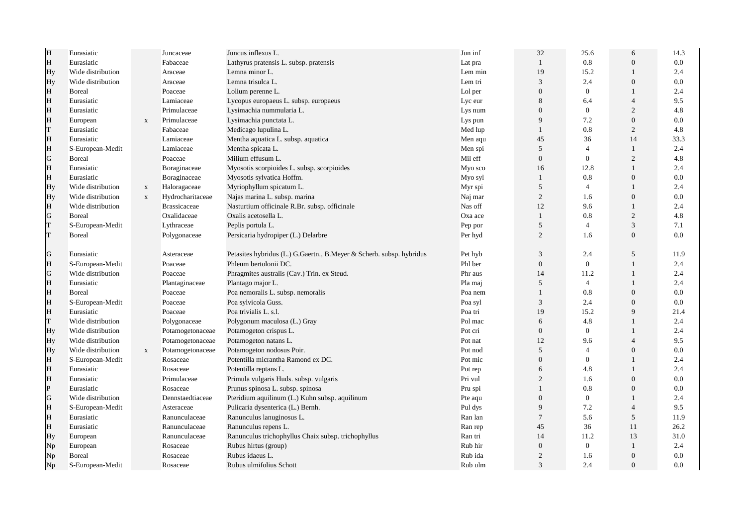| H           | Eurasiatic        |              | Juncaceae           | Juncus inflexus L.                                                   | Jun inf | 32               | 25.6           | 6              | 14.3    |
|-------------|-------------------|--------------|---------------------|----------------------------------------------------------------------|---------|------------------|----------------|----------------|---------|
| H           | Eurasiatic        |              | Fabaceae            | Lathyrus pratensis L. subsp. pratensis                               | Lat pra | $\mathbf{1}$     | 0.8            | $\overline{0}$ | 0.0     |
| Hy          | Wide distribution |              | Araceae             | Lemna minor L.                                                       | Lem min | 19               | 15.2           |                | 2.4     |
| Hy          | Wide distribution |              | Araceae             | Lemna trisulca L.                                                    | Lem tri | 3                | 2.4            | $\theta$       | 0.0     |
| H           | <b>Boreal</b>     |              | Poaceae             | Lolium perenne L.                                                    | Lol per | $\overline{0}$   | $\mathbf{0}$   | $\overline{1}$ | 2.4     |
| H           | Eurasiatic        |              | Lamiaceae           | Lycopus europaeus L. subsp. europaeus                                | Lyc eur | 8                | 6.4            | $\overline{4}$ | 9.5     |
| H           | Eurasiatic        |              | Primulaceae         | Lysimachia nummularia L.                                             | Lys num | $\mathbf{0}$     | $\mathbf{0}$   | $\overline{2}$ | 4.8     |
| H           | European          | X            | Primulaceae         | Lysimachia punctata L.                                               | Lys pun | 9                | 7.2            | $\overline{0}$ | 0.0     |
| T           | Eurasiatic        |              | Fabaceae            | Medicago lupulina L.                                                 | Med lup | 1                | 0.8            | 2              | 4.8     |
| H           | Eurasiatic        |              | Lamiaceae           | Mentha aquatica L. subsp. aquatica                                   | Men aqu | 45               | 36             | 14             | 33.3    |
| H           | S-European-Medit  |              | Lamiaceae           | Mentha spicata L.                                                    | Men spi | 5                | $\overline{4}$ |                | 2.4     |
| G           | <b>B</b> oreal    |              | Poaceae             | Milium effusum L.                                                    | Mil eff | $\mathbf{0}$     | $\overline{0}$ | $\overline{c}$ | 4.8     |
| $\rm H$     | Eurasiatic        |              | Boraginaceae        | Myosotis scorpioides L. subsp. scorpioides                           | Myo sco | 16               | 12.8           |                | 2.4     |
| H           | Eurasiatic        |              | Boraginaceae        | Myosotis sylvatica Hoffm.                                            | Myo syl | $\mathbf{1}$     | 0.8            | $\theta$       | 0.0     |
| Hy          | Wide distribution | $\mathbf X$  | Haloragaceae        | Myriophyllum spicatum L.                                             | Myr spi | 5                | $\overline{4}$ | $\mathbf{1}$   | 2.4     |
| Hy          | Wide distribution | $\mathbf{X}$ | Hydrocharitaceae    | Najas marina L. subsp. marina                                        | Naj mar | $\overline{2}$   | 1.6            | $\Omega$       | 0.0     |
| H           | Wide distribution |              | <b>Brassicaceae</b> | Nasturtium officinale R.Br. subsp. officinale                        | Nas off | 12               | 9.6            |                | 2.4     |
| G           | <b>Boreal</b>     |              | Oxalidaceae         | Oxalis acetosella L.                                                 | Oxa ace | $\mathbf{1}$     | 0.8            | $\mathbf{2}$   | 4.8     |
| T           | S-European-Medit  |              | Lythraceae          | Peplis portula L.                                                    | Pep por | 5                | $\overline{4}$ | 3              | 7.1     |
| T           | <b>B</b> oreal    |              | Polygonaceae        | Persicaria hydropiper (L.) Delarbre                                  | Per hyd | 2                | 1.6            | $\theta$       | $0.0\,$ |
|             |                   |              |                     |                                                                      |         |                  |                |                |         |
| G           | Eurasiatic        |              | Asteraceae          | Petasites hybridus (L.) G.Gaertn., B.Meyer & Scherb. subsp. hybridus | Pet hyb | 3                | 2.4            | 5              | 11.9    |
| H           | S-European-Medit  |              | Poaceae             | Phleum bertolonii DC.                                                | Phl ber | $\boldsymbol{0}$ | $\overline{0}$ |                | 2.4     |
| G           | Wide distribution |              | Poaceae             | Phragmites australis (Cav.) Trin. ex Steud.                          | Phr aus | 14               | 11.2           |                | 2.4     |
| H           | Eurasiatic        |              | Plantaginaceae      | Plantago major L.                                                    | Pla maj | 5                | $\overline{4}$ | $\mathbf{1}$   | 2.4     |
| H           | <b>Boreal</b>     |              | Poaceae             | Poa nemoralis L. subsp. nemoralis                                    | Poa nem | $\mathbf{1}$     | 0.8            | $\theta$       | 0.0     |
| H           | S-European-Medit  |              | Poaceae             | Poa sylvicola Guss.                                                  | Poa syl | 3                | 2.4            | $\Omega$       | 0.0     |
| H           | Eurasiatic        |              | Poaceae             | Poa trivialis L. s.l.                                                | Poa tri | 19               | 15.2           | 9              | 21.4    |
| T           | Wide distribution |              | Polygonaceae        | Polygonum maculosa (L.) Gray                                         | Pol mac | 6                | 4.8            |                | 2.4     |
| Hy          | Wide distribution |              | Potamogetonaceae    | Potamogeton crispus L.                                               | Pot cri | $\mathbf{0}$     | $\overline{0}$ |                | 2.4     |
| Hy          | Wide distribution |              | Potamogetonaceae    | Potamogeton natans L.                                                | Pot nat | 12               | 9.6            | $\overline{4}$ | 9.5     |
| Hy          | Wide distribution | $\mathbf X$  | Potamogetonaceae    | Potamogeton nodosus Poir.                                            | Pot nod | 5                | $\overline{4}$ | $\overline{0}$ | 0.0     |
| H           | S-European-Medit  |              | Rosaceae            | Potentilla micrantha Ramond ex DC.                                   | Pot mic | $\mathbf{0}$     | $\overline{0}$ |                | 2.4     |
| H           | Eurasiatic        |              | Rosaceae            | Potentilla reptans L.                                                | Pot rep | 6                | 4.8            |                | 2.4     |
| H           | Eurasiatic        |              | Primulaceae         | Primula vulgaris Huds. subsp. vulgaris                               | Pri vul | 2                | 1.6            | $\theta$       | 0.0     |
| $\mathbf P$ | Eurasiatic        |              | Rosaceae            | Prunus spinosa L. subsp. spinosa                                     | Pru spi | $\mathbf{1}$     | $0.8\,$        | $\theta$       | 0.0     |
| G           | Wide distribution |              | Dennstaedtiaceae    | Pteridium aquilinum (L.) Kuhn subsp. aquilinum                       | Pte aqu | $\mathbf{0}$     | $\mathbf{0}$   |                | 2.4     |
| H           | S-European-Medit  |              | Asteraceae          | Pulicaria dysenterica (L.) Bernh.                                    | Pul dys | 9                | 7.2            | $\overline{4}$ | 9.5     |
| H           | Eurasiatic        |              | Ranunculaceae       | Ranunculus lanuginosus L.                                            | Ran lan | $\tau$           | 5.6            | 5              | 11.9    |
| H           | Eurasiatic        |              | Ranunculaceae       | Ranunculus repens L.                                                 | Ran rep | 45               | 36             | 11             | 26.2    |
| Hy          | European          |              | Ranunculaceae       | Ranunculus trichophyllus Chaix subsp. trichophyllus                  | Ran tri | 14               | 11.2           | 13             | 31.0    |
| Np          | European          |              | Rosaceae            | Rubus hirtus (group)                                                 | Rub hir | $\boldsymbol{0}$ | $\mathbf{0}$   |                | 2.4     |
| Np          | Boreal            |              | Rosaceae            | Rubus idaeus L.                                                      | Rub ida | $\overline{2}$   | 1.6            | $\Omega$       | 0.0     |
| Np          | S-European-Medit  |              | Rosaceae            | Rubus ulmifolius Schott                                              | Rub ulm | 3                | 2.4            | $\Omega$       | 0.0     |
|             |                   |              |                     |                                                                      |         |                  |                |                |         |